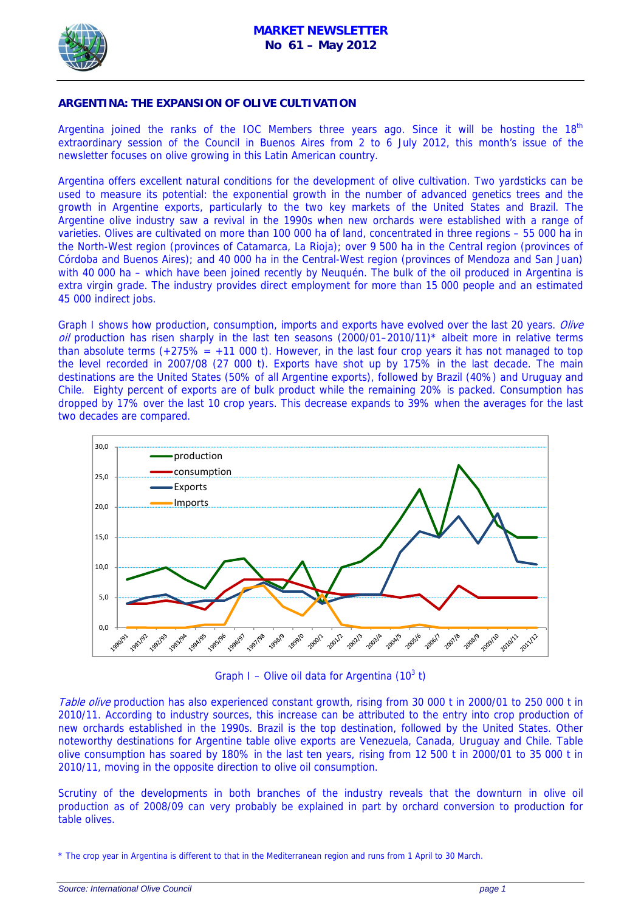

## **ARGENTINA: THE EXPANSION OF OLIVE CULTIVATION**

Argentina joined the ranks of the IOC Members three years ago. Since it will be hosting the  $18<sup>th</sup>$ extraordinary session of the Council in Buenos Aires from 2 to 6 July 2012, this month's issue of the newsletter focuses on olive growing in this Latin American country.

Argentina offers excellent natural conditions for the development of olive cultivation. Two yardsticks can be used to measure its potential: the exponential growth in the number of advanced genetics trees and the growth in Argentine exports, particularly to the two key markets of the United States and Brazil. The Argentine olive industry saw a revival in the 1990s when new orchards were established with a range of varieties. Olives are cultivated on more than 100 000 ha of land, concentrated in three regions – 55 000 ha in the North-West region (provinces of Catamarca, La Rioja); over 9 500 ha in the Central region (provinces of Córdoba and Buenos Aires); and 40 000 ha in the Central-West region (provinces of Mendoza and San Juan) with 40 000 ha – which have been joined recently by Neuquén. The bulk of the oil produced in Argentina is extra virgin grade. The industry provides direct employment for more than 15 000 people and an estimated 45 000 indirect jobs.

Graph I shows how production, consumption, imports and exports have evolved over the last 20 years. Olive  $\omega$  production has risen sharply in the last ten seasons (2000/01–2010/11)<sup>\*</sup> albeit more in relative terms than absolute terms  $(+275\% - +11\,000\,t)$ . However, in the last four crop years it has not managed to top the level recorded in 2007/08 (27 000 t). Exports have shot up by 175% in the last decade. The main destinations are the United States (50% of all Argentine exports), followed by Brazil (40%) and Uruguay and Chile. Eighty percent of exports are of bulk product while the remaining 20% is packed. Consumption has dropped by 17% over the last 10 crop years. This decrease expands to 39% when the averages for the last two decades are compared.



Graph I – Olive oil data for Argentina  $(10^3 t)$ 

Table olive production has also experienced constant growth, rising from 30 000 t in 2000/01 to 250 000 t in 2010/11. According to industry sources, this increase can be attributed to the entry into crop production of new orchards established in the 1990s. Brazil is the top destination, followed by the United States. Other noteworthy destinations for Argentine table olive exports are Venezuela, Canada, Uruguay and Chile. Table olive consumption has soared by 180% in the last ten years, rising from 12 500 t in 2000/01 to 35 000 t in 2010/11, moving in the opposite direction to olive oil consumption.

Scrutiny of the developments in both branches of the industry reveals that the downturn in olive oil production as of 2008/09 can very probably be explained in part by orchard conversion to production for table olives.

<sup>\*</sup> The crop year in Argentina is different to that in the Mediterranean region and runs from 1 April to 30 March.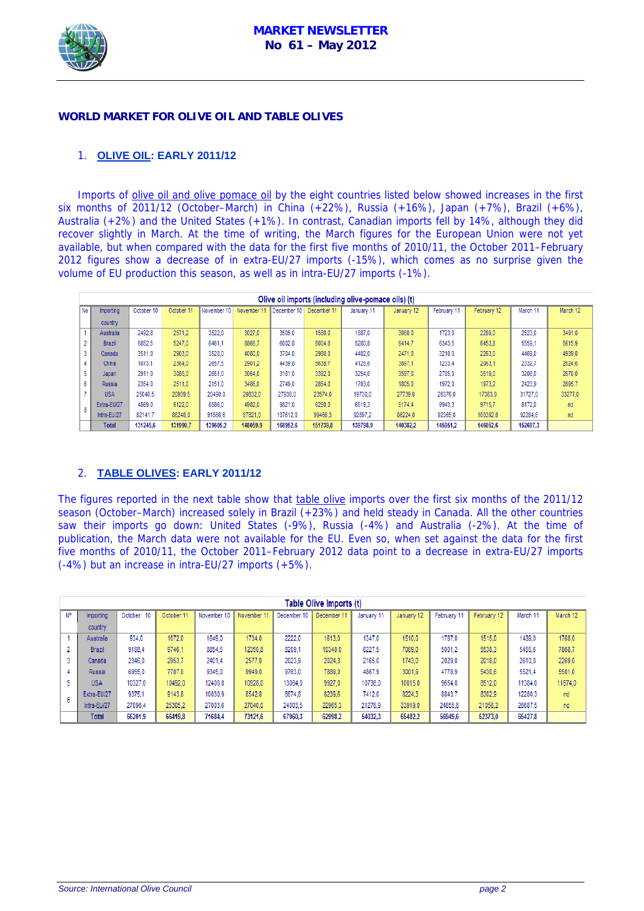

## **WORLD MARKET FOR OLIVE OIL AND TABLE OLIVES**

# 1. **OLIVE OIL: EARLY 2011/12**

Imports of olive oil and olive pomace oil by the eight countries listed below showed increases in the first six months of 2011/12 (October–March) in China (+22%), Russia (+16%), Japan (+7%), Brazil (+6%), Australia (+2%) and the United States (+1%). In contrast, Canadian imports fell by 14%, although they did recover slightly in March. At the time of writing, the March figures for the European Union were not yet available, but when compared with the data for the first five months of 2010/11, the October 2011–February 2012 figures show a decrease of in extra-EU/27 imports (-15%), which comes as no surprise given the volume of EU production this season, as well as in intra-EU/27 imports (-1%).

|    | Olive oil imports (including olive-pomace oils) (t) |            |            |             |             |             |             |            |            |             |             |          |          |
|----|-----------------------------------------------------|------------|------------|-------------|-------------|-------------|-------------|------------|------------|-------------|-------------|----------|----------|
| No | Importing                                           | October 10 | October 11 | November 10 | November 11 | December 10 | December 11 | January 11 | January 12 | February 11 | February 12 | March 11 | March 12 |
|    | country                                             |            |            |             |             |             |             |            |            |             |             |          |          |
|    | Australia                                           | 2492.8     | 2571.2     | 3522.0      | 3027.0      | 3505.0      | 1580.0      | 1887,0     | 3060.0     | 1723.0      | 2289,0      | 2523,0   | 3491,0   |
|    | <b>Brazil</b>                                       | 6852.5     | 5247,0     | 6461.1      | 8866.7      | 6002.8      | 6004.8      | 5280.8     | 6414.7     | 6343,5      | 6453.8      | 5559.1   | 5615.9   |
| o. | Canada                                              | 3511.0     | 2903.0     | 3520.0      | 4080.0      | 3704.0      | 2980.0      | 4402.0     | 2471.0     | 3210.0      | 2263.0      | 4469.0   | 4939.0   |
|    | China                                               | 1073.1     | 2364.0     | 2657.5      | 2901.2      | 4439.8      | 5638.7      | 4125.6     | 3897.1     | 1233.4      | 2063.1      | 2332.7   | 2524,6   |
|    | Japan                                               | 2911.0     | 3085.0     | 2651.0      | 3064.0      | 3181.0      | 3392.0      | 3254.0     | 3597.0     | 2785.0      | 3519.0      | 3206.0   | 2670,0   |
| 6  | <b>Russia</b>                                       | 2354.0     | 2511.0     | 2151.0      | 3486.0      | 2749.0      | 2854.0      | 1703.0     | 1805.0     | 1972.0      | 1973,2      | 2423,9   | 2895,7   |
|    | <b>USA</b>                                          | 25040.5    | 20939.5    | 20490.0     | 29832,0     | 27938.0     | 23574.0     | 19730,0    | 27739,0    | 26376.0     | 17383,0     | 31727.0  | 33277,0  |
| 8  | Extra-EU/27                                         | 4869.0     | 6122.0     | 6586.0      | 4982.0      | 9821,0      | 6250.0      | 6519.3     | 5174.4     | 9943,3      | 9715.7      | 8172.0   | nd       |
|    | Intra-EU/27                                         | 82141.7    | 86248.0    | 91566.6     | 87821.0     | 107612.0    | 99466.3     | 92897.2    | 86224,0    | 92365.0     | 100392.8    | 92284.6  | nd       |
|    | <b>Total</b>                                        | 131245,6   | 131990.7   | 139605.2    | 148059.9    | 168952.6    | 151739.8    | 139798.9   | 140382.2   | 145951.2    | 146052,6    | 152697.3 |          |

## 2. **TABLE OLIVES: EARLY 2011/12**

The figures reported in the next table show that table olive imports over the first six months of the 2011/12 season (October–March) increased solely in Brazil (+23%) and held steady in Canada. All the other countries saw their imports go down: United States (-9%), Russia (-4%) and Australia (-2%). At the time of publication, the March data were not available for the EU. Even so, when set against the data for the first five months of 2010/11, the October 2011–February 2012 data point to a decrease in extra-EU/27 imports (-4%) but an increase in intra-EU/27 imports (+5%).

|    | Table Olive Imports (t) |               |           |             |             |             |             |            |            |             |             |          |          |
|----|-------------------------|---------------|-----------|-------------|-------------|-------------|-------------|------------|------------|-------------|-------------|----------|----------|
| N° | Importing               | October<br>10 | October 1 | November 10 | November 11 | December 10 | December 11 | January 11 | January 12 | February 11 | February 12 | March 11 | March 12 |
|    | country                 |               |           |             |             |             |             |            |            |             |             |          |          |
|    | Australia               | 934.0         | 1072.0    | 1649.0      | 1734.0      | 2222,0      | 1613.0      | 1347.0     | 1510.0     | 1787.0      | 1515.0      | 1489.0   | 1768.0   |
|    | Brazil                  | 9168.4        | 9746.1    | 8854.5      | 12350.8     | 8209.1      | 10340.0     | 6227.5     | 7069.0     | 5001.2      | 5538.3      | 5455.6   | 7868.7   |
| 3  | Canada                  | 2346.0        | 2953.7    | 2401.4      | 2577.0      | 2023,9      | 2024.3      | 2165.0     | 1743.0     | 2029.0      | 2018.0      | 2610.0   | 2269.0   |
|    | <b>Russia</b>           | 6955.0        | 7707.0    | 9345.0      | 9949.0      | 9763.0      | 7889.0      | 4867.9     | 3001.9     | 4778.9      | 5430.6      | 5521.4   | 5501.0   |
| 5  | <b>USA</b>              | 10327.0       | 10492.0   | 12400.0     | 10928.0     | 13064,0     | 9927.0      | 10736.0    | 10015.0    | 9654.0      | 8512.0      | 11384.0  | 11674.0  |
|    | Extra-EU/27             | 9375.1        | 9143.8    | 10030.9     | 8542.8      | 8674.8      | 8239.6      | 7412.0     | 8224.3     | 8843.7      | 8302.9      | 12280.3  | nd       |
| 6  | Intra-EU/27             | 27096.4       | 25305.2   | 27003.6     | 27040.0     | 24003,5     | 22965.3     | 21276.9    | 33919.0    | 24855,8     | 21056.2     | 26687.5  | nd       |
|    | Total                   | 66201.9       | 66419.8   | 71684,4     | 73121.6     | 67960.3     | 62998.2     | 54032.3    | 65482.2    | 56949.6     | 52373.0     | 65427.8  |          |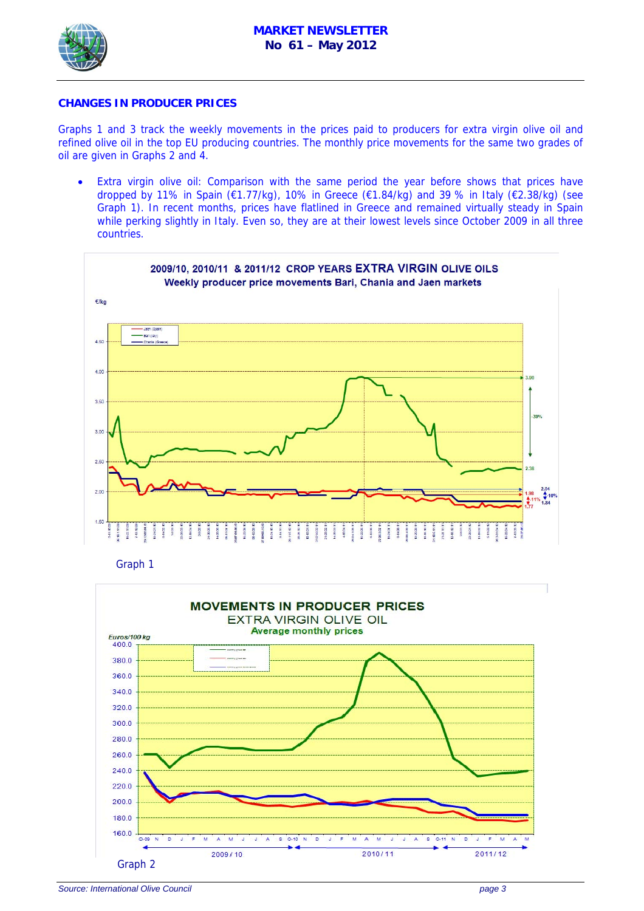

## **CHANGES IN PRODUCER PRICES**

Graphs 1 and 3 track the weekly movements in the prices paid to producers for extra virgin olive oil and refined olive oil in the top EU producing countries. The monthly price movements for the same two grades of oil are given in Graphs 2 and 4.

Extra virgin olive oil: Comparison with the same period the year before shows that prices have dropped by 11% in Spain (€1.77/kg), 10% in Greece (€1.84/kg) and 39 % in Italy (€2.38/kg) (see Graph 1). In recent months, prices have flatlined in Greece and remained virtually steady in Spain while perking slightly in Italy. Even so, they are at their lowest levels since October 2009 in all three countries.



Graph 1